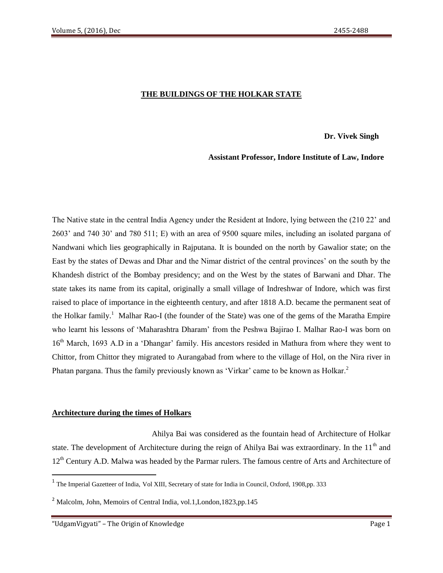## **THE BUILDINGS OF THE HOLKAR STATE**

**Dr. Vivek Singh**

#### **Assistant Professor, Indore Institute of Law, Indore**

The Native state in the central India Agency under the Resident at Indore, lying between the (210 22' and 2603' and 740 30' and 780 511; E) with an area of 9500 square miles, including an isolated pargana of Nandwani which lies geographically in Rajputana. It is bounded on the north by Gawalior state; on the East by the states of Dewas and Dhar and the Nimar district of the central provinces' on the south by the Khandesh district of the Bombay presidency; and on the West by the states of Barwani and Dhar. The state takes its name from its capital, originally a small village of Indreshwar of Indore, which was first raised to place of importance in the eighteenth century, and after 1818 A.D. became the permanent seat of the Holkar family.<sup>1</sup> Malhar Rao-I (the founder of the State) was one of the gems of the Maratha Empire who learnt his lessons of 'Maharashtra Dharam' from the Peshwa Bajirao I. Malhar Rao-I was born on 16<sup>th</sup> March, 1693 A.D in a 'Dhangar' family. His ancestors resided in Mathura from where they went to Chittor, from Chittor they migrated to Aurangabad from where to the village of Hol, on the Nira river in Phatan pargana. Thus the family previously known as 'Virkar' came to be known as Holkar.<sup>2</sup>

#### **Architecture during the times of Holkars**

 Ahilya Bai was considered as the fountain head of Architecture of Holkar state. The development of Architecture during the reign of Ahilya Bai was extraordinary. In the  $11<sup>th</sup>$  and 12<sup>th</sup> Century A.D. Malwa was headed by the Parmar rulers. The famous centre of Arts and Architecture of

<sup>&</sup>lt;sup>1</sup> The Imperial Gazetteer of India, Vol XIII, Secretary of state for India in Council, Oxford, 1908,pp. 333

<sup>&</sup>lt;sup>2</sup> Malcolm, John, Memoirs of Central India, vol.1, London, 1823, pp. 145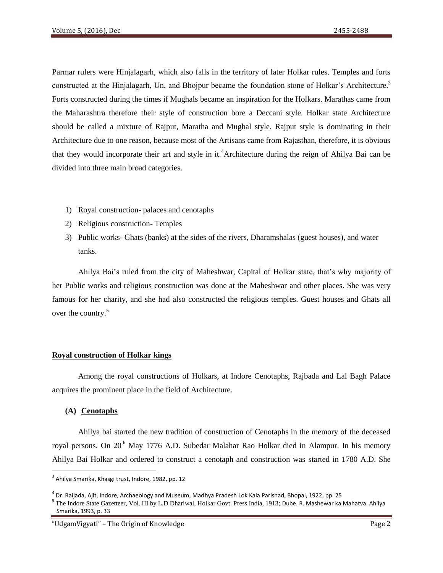Parmar rulers were Hinjalagarh, which also falls in the territory of later Holkar rules. Temples and forts constructed at the Hinjalagarh, Un, and Bhojpur became the foundation stone of Holkar's Architecture.<sup>3</sup> Forts constructed during the times if Mughals became an inspiration for the Holkars. Marathas came from the Maharashtra therefore their style of construction bore a Deccani style. Holkar state Architecture should be called a mixture of Rajput, Maratha and Mughal style. Rajput style is dominating in their Architecture due to one reason, because most of the Artisans came from Rajasthan, therefore, it is obvious that they would incorporate their art and style in it.<sup>4</sup>Architecture during the reign of Ahilya Bai can be divided into three main broad categories.

- 1) Royal construction- palaces and cenotaphs
- 2) Religious construction- Temples
- 3) Public works- Ghats (banks) at the sides of the rivers, Dharamshalas (guest houses), and water tanks.

Ahilya Bai's ruled from the city of Maheshwar, Capital of Holkar state, that's why majority of her Public works and religious construction was done at the Maheshwar and other places. She was very famous for her charity, and she had also constructed the religious temples. Guest houses and Ghats all over the country.<sup>5</sup>

#### **Royal construction of Holkar kings**

Among the royal constructions of Holkars, at Indore Cenotaphs, Rajbada and Lal Bagh Palace acquires the prominent place in the field of Architecture.

# **(A) Cenotaphs**

l

Ahilya bai started the new tradition of construction of Cenotaphs in the memory of the deceased royal persons. On 20<sup>th</sup> May 1776 A.D. Subedar Malahar Rao Holkar died in Alampur. In his memory Ahilya Bai Holkar and ordered to construct a cenotaph and construction was started in 1780 A.D. She

<sup>&</sup>lt;sup>3</sup> Ahilya Smarika, Khasgi trust, Indore, 1982, pp. 12

<sup>&</sup>lt;sup>4</sup> Dr. Raijada, Ajit, Indore, Archaeology and Museum, Madhya Pradesh Lok Kala Parishad, Bhopal, 1922, pp. 25

<sup>&</sup>lt;sup>5</sup> The Indore State Gazetteer, Vol. III by L.D Dhariwal, Holkar Govt. Press India, 1913; Dube. R. Mashewar ka Mahatva. Ahilya Smarika, 1993, p. 33

<sup>&</sup>quot;UdgamVigyati" – The Origin of Knowledge Page 2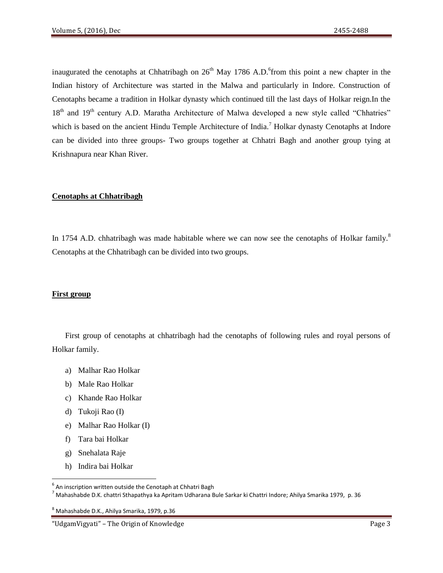inaugurated the cenotaphs at Chhatribagh on  $26<sup>th</sup>$  May 1786 A.D. from this point a new chapter in the Indian history of Architecture was started in the Malwa and particularly in Indore. Construction of Cenotaphs became a tradition in Holkar dynasty which continued till the last days of Holkar reign.In the 18<sup>th</sup> and 19<sup>th</sup> century A.D. Maratha Architecture of Malwa developed a new style called "Chhatries" which is based on the ancient Hindu Temple Architecture of India.<sup>7</sup> Holkar dynasty Cenotaphs at Indore can be divided into three groups- Two groups together at Chhatri Bagh and another group tying at Krishnapura near Khan River.

## **Cenotaphs at Chhatribagh**

In 1754 A.D. chhatribagh was made habitable where we can now see the cenotaphs of Holkar family.<sup>8</sup> Cenotaphs at the Chhatribagh can be divided into two groups.

#### **First group**

First group of cenotaphs at chhatribagh had the cenotaphs of following rules and royal persons of Holkar family.

- a) Malhar Rao Holkar
- b) Male Rao Holkar
- c) Khande Rao Holkar
- d) Tukoji Rao (I)
- e) Malhar Rao Holkar (I)
- f) Tara bai Holkar
- g) Snehalata Raje

 $\overline{\phantom{a}}$ 

h) Indira bai Holkar

 $^6$  An inscription written outside the Cenotaph at Chhatri Bagh

<sup>7</sup> Mahashabde D.K. chattri Sthapathya ka Apritam Udharana Bule Sarkar ki Chattri Indore; Ahilya Smarika 1979, p. 36

<sup>8</sup> Mahashabde D.K., Ahilya Smarika, 1979, p.36

<sup>&</sup>quot;UdgamVigyati" – The Origin of Knowledge Page 3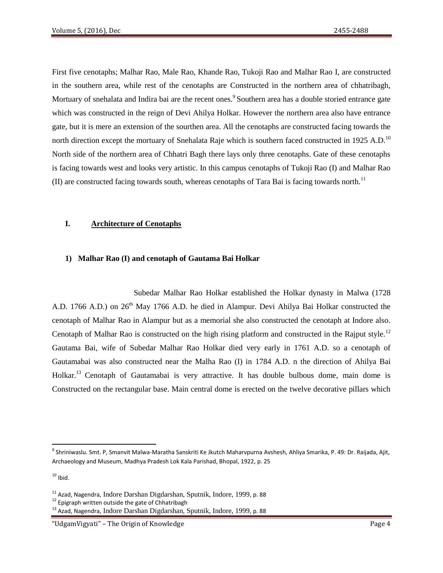First five cenotaphs; Malhar Rao, Male Rao, Khande Rao, Tukoji Rao and Malhar Rao I, are constructed in the southern area, while rest of the cenotaphs are Constructed in the northern area of chhatribagh, Mortuary of snehalata and Indira bai are the recent ones. Southern area has a double storied entrance gate which was constructed in the reign of Devi Ahilya Holkar. However the northern area also have entrance gate, but it is mere an extension of the sourthen area. All the cenotaphs are constructed facing towards the north direction except the mortuary of Snehalata Raje which is southern faced constructed in 1925 A.D.<sup>10</sup> North side of the northern area of Chhatri Bagh there lays only three cenotaphs. Gate of these cenotaphs is facing towards west and looks very artistic. In this campus cenotaphs of Tukoji Rao (I) and Malhar Rao  $(II)$  are constructed facing towards south, whereas cenotaphs of Tara Bai is facing towards north.<sup>11</sup>

#### **I. Architecture of Cenotaphs**

## **1) Malhar Rao (I) and cenotaph of Gautama Bai Holkar**

 Subedar Malhar Rao Holkar established the Holkar dynasty in Malwa (1728 A.D. 1766 A.D.) on 26<sup>th</sup> May 1766 A.D. he died in Alampur. Devi Ahilya Bai Holkar constructed the cenotaph of Malhar Rao in Alampur but as a memorial she also constructed the cenotaph at Indore also. Cenotaph of Malhar Rao is constructed on the high rising platform and constructed in the Rajput style.<sup>12</sup> Gautama Bai, wife of Subedar Malhar Rao Holkar died very early in 1761 A.D. so a cenotaph of Gautamabai was also constructed near the Malha Rao (I) in 1784 A.D. n the direction of Ahilya Bai Holkar.<sup>13</sup> Cenotaph of Gautamabai is very attractive. It has double bulbous dome, main dome is Constructed on the rectangular base. Main central dome is erected on the twelve decorative pillars which

 $\overline{\phantom{a}}$ 

<sup>&</sup>lt;sup>9</sup> Shriniwaslu. Smt. P, Smanvit Malwa-Maratha Sanskriti Ke Jkutch Maharvpurna Avshesh, Ahliya Smarika, P. 49: Dr. Raijada, Ajit, Archaeology and Museum, Madhya Pradesh Lok Kala Parishad, Bhopal, 1922, p. 25

 $10$  Ibid.

<sup>11</sup> Azad, Nagendra, Indore Darshan Digdarshan, Sputnik, Indore, 1999, p. 88

<sup>&</sup>lt;sup>12</sup> Epigraph written outside the gate of Chhatribagh

<sup>&</sup>lt;sup>13</sup> Azad, Nagendra, Indore Darshan Digdarshan, Sputnik, Indore, 1999, p. 88

<sup>&</sup>quot;UdgamVigyati" – The Origin of Knowledge Page 4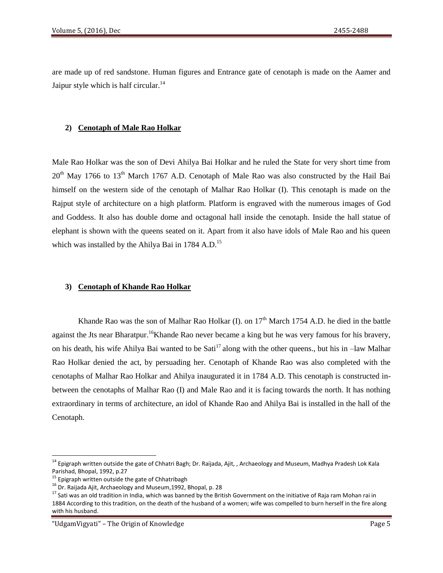are made up of red sandstone. Human figures and Entrance gate of cenotaph is made on the Aamer and Jaipur style which is half circular. $^{14}$ 

## **2) Cenotaph of Male Rao Holkar**

Male Rao Holkar was the son of Devi Ahilya Bai Holkar and he ruled the State for very short time from  $20<sup>th</sup>$  May 1766 to 13<sup>th</sup> March 1767 A.D. Cenotaph of Male Rao was also constructed by the Hail Bai himself on the western side of the cenotaph of Malhar Rao Holkar (I). This cenotaph is made on the Rajput style of architecture on a high platform. Platform is engraved with the numerous images of God and Goddess. It also has double dome and octagonal hall inside the cenotaph. Inside the hall statue of elephant is shown with the queens seated on it. Apart from it also have idols of Male Rao and his queen which was installed by the Ahilya Bai in 1784 A.D.<sup>15</sup>

#### **3) Cenotaph of Khande Rao Holkar**

Khande Rao was the son of Malhar Rao Holkar (I). on  $17<sup>th</sup>$  March 1754 A.D. he died in the battle against the Jts near Bharatpur.<sup>16</sup>Khande Rao never became a king but he was very famous for his bravery, on his death, his wife Ahilya Bai wanted to be  $Sati<sup>17</sup>$  along with the other queens., but his in –law Malhar Rao Holkar denied the act, by persuading her. Cenotaph of Khande Rao was also completed with the cenotaphs of Malhar Rao Holkar and Ahilya inaugurated it in 1784 A.D. This cenotaph is constructed inbetween the cenotaphs of Malhar Rao (I) and Male Rao and it is facing towards the north. It has nothing extraordinary in terms of architecture, an idol of Khande Rao and Ahilya Bai is installed in the hall of the Cenotaph.

 $\overline{\phantom{a}}$ 

<sup>&</sup>lt;sup>14</sup> Epigraph written outside the gate of Chhatri Bagh; Dr. Raijada, Ajit, , Archaeology and Museum, Madhya Pradesh Lok Kala Parishad, Bhopal, 1992, p.27

<sup>&</sup>lt;sup>15</sup> Epigraph written outside the gate of Chhatribagh

<sup>&</sup>lt;sup>16</sup> Dr. Raijada Ajit, Archaeology and Museum, 1992, Bhopal, p. 28

 $17$  Sati was an old tradition in India, which was banned by the British Government on the initiative of Raja ram Mohan rai in 1884 According to this tradition, on the death of the husband of a women; wife was compelled to burn herself in the fire along with his husband.

<sup>&</sup>quot;UdgamVigyati" – The Origin of Knowledge Page 5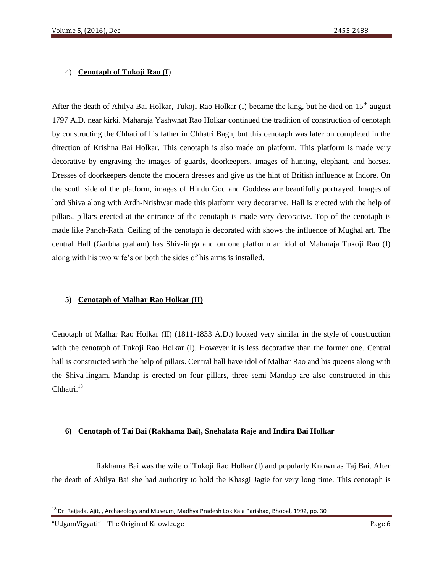## 4) **Cenotaph of Tukoji Rao (I**)

After the death of Ahilya Bai Holkar, Tukoji Rao Holkar (I) became the king, but he died on  $15<sup>th</sup>$  august 1797 A.D. near kirki. Maharaja Yashwnat Rao Holkar continued the tradition of construction of cenotaph by constructing the Chhati of his father in Chhatri Bagh, but this cenotaph was later on completed in the direction of Krishna Bai Holkar. This cenotaph is also made on platform. This platform is made very decorative by engraving the images of guards, doorkeepers, images of hunting, elephant, and horses. Dresses of doorkeepers denote the modern dresses and give us the hint of British influence at Indore. On the south side of the platform, images of Hindu God and Goddess are beautifully portrayed. Images of lord Shiva along with Ardh-Nrishwar made this platform very decorative. Hall is erected with the help of pillars, pillars erected at the entrance of the cenotaph is made very decorative. Top of the cenotaph is made like Panch-Rath. Ceiling of the cenotaph is decorated with shows the influence of Mughal art. The central Hall (Garbha graham) has Shiv-linga and on one platform an idol of Maharaja Tukoji Rao (I) along with his two wife's on both the sides of his arms is installed.

#### **5) Cenotaph of Malhar Rao Holkar (II)**

Cenotaph of Malhar Rao Holkar (II) (1811-1833 A.D.) looked very similar in the style of construction with the cenotaph of Tukoji Rao Holkar (I). However it is less decorative than the former one. Central hall is constructed with the help of pillars. Central hall have idol of Malhar Rao and his queens along with the Shiva-lingam. Mandap is erected on four pillars, three semi Mandap are also constructed in this Chhatri.<sup>18</sup>

#### **6) Cenotaph of Tai Bai (Rakhama Bai), Snehalata Raje and Indira Bai Holkar**

 Rakhama Bai was the wife of Tukoji Rao Holkar (I) and popularly Known as Taj Bai. After the death of Ahilya Bai she had authority to hold the Khasgi Jagie for very long time. This cenotaph is

<sup>&</sup>lt;sup>18</sup> Dr. Raijada, Ajit, , Archaeology and Museum, Madhya Pradesh Lok Kala Parishad, Bhopal, 1992, pp. 30

<sup>&</sup>quot;UdgamVigyati" – The Origin of Knowledge Page 6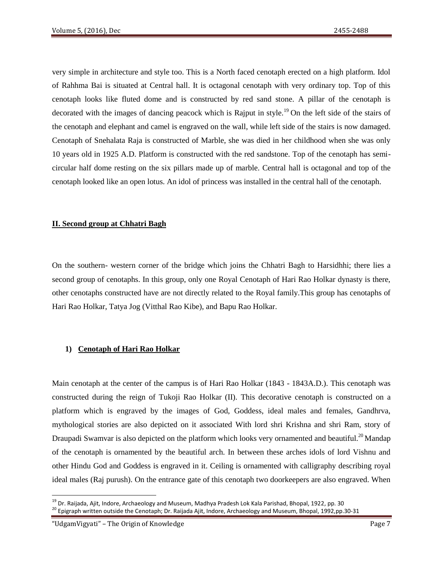very simple in architecture and style too. This is a North faced cenotaph erected on a high platform. Idol of Rahhma Bai is situated at Central hall. It is octagonal cenotaph with very ordinary top. Top of this cenotaph looks like fluted dome and is constructed by red sand stone. A pillar of the cenotaph is decorated with the images of dancing peacock which is Rajput in style.<sup>19</sup> On the left side of the stairs of the cenotaph and elephant and camel is engraved on the wall, while left side of the stairs is now damaged. Cenotaph of Snehalata Raja is constructed of Marble, she was died in her childhood when she was only 10 years old in 1925 A.D. Platform is constructed with the red sandstone. Top of the cenotaph has semicircular half dome resting on the six pillars made up of marble. Central hall is octagonal and top of the cenotaph looked like an open lotus. An idol of princess was installed in the central hall of the cenotaph.

## **II. Second group at Chhatri Bagh**

On the southern- western corner of the bridge which joins the Chhatri Bagh to Harsidhhi; there lies a second group of cenotaphs. In this group, only one Royal Cenotaph of Hari Rao Holkar dynasty is there, other cenotaphs constructed have are not directly related to the Royal family.This group has cenotaphs of Hari Rao Holkar, Tatya Jog (Vitthal Rao Kibe), and Bapu Rao Holkar.

# **1) Cenotaph of Hari Rao Holkar**

Main cenotaph at the center of the campus is of Hari Rao Holkar (1843 - 1843A.D.). This cenotaph was constructed during the reign of Tukoji Rao Holkar (II). This decorative cenotaph is constructed on a platform which is engraved by the images of God, Goddess, ideal males and females, Gandhrva, mythological stories are also depicted on it associated With lord shri Krishna and shri Ram, story of Draupadi Swamvar is also depicted on the platform which looks very ornamented and beautiful.<sup>20</sup> Mandap of the cenotaph is ornamented by the beautiful arch. In between these arches idols of lord Vishnu and other Hindu God and Goddess is engraved in it. Ceiling is ornamented with calligraphy describing royal ideal males (Raj purush). On the entrance gate of this cenotaph two doorkeepers are also engraved. When

"UdgamVigyati" – The Origin of Knowledge Page 7

<sup>&</sup>lt;sup>19</sup> Dr. Raijada, Ajit, Indore, Archaeology and Museum, Madhya Pradesh Lok Kala Parishad, Bhopal, 1922, pp. 30 <sup>20</sup> Epigraph written outside the Cenotaph; Dr. Raijada Ajit, Indore, Archaeology and Museum, Bhopal, 1992,pp.30-31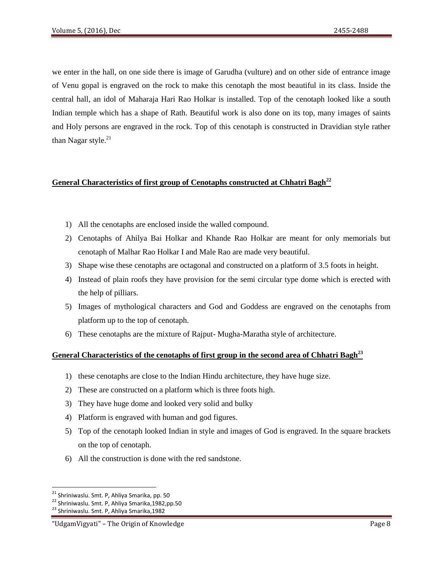we enter in the hall, on one side there is image of Garudha (vulture) and on other side of entrance image of Venu gopal is engraved on the rock to make this cenotaph the most beautiful in its class. Inside the central hall, an idol of Maharaja Hari Rao Holkar is installed. Top of the cenotaph looked like a south Indian temple which has a shape of Rath. Beautiful work is also done on its top, many images of saints and Holy persons are engraved in the rock. Top of this cenotaph is constructed in Dravidian style rather than Nagar style. $^{21}$ 

# **General Characteristics of first group of Cenotaphs constructed at Chhatri Bagh<sup>22</sup>**

- 1) All the cenotaphs are enclosed inside the walled compound.
- 2) Cenotaphs of Ahilya Bai Holkar and Khande Rao Holkar are meant for only memorials but cenotaph of Malhar Rao Holkar I and Male Rao are made very beautiful.
- 3) Shape wise these cenotaphs are octagonal and constructed on a platform of 3.5 foots in height.
- 4) Instead of plain roofs they have provision for the semi circular type dome which is erected with the help of pilliars.
- 5) Images of mythological characters and God and Goddess are engraved on the cenotaphs from platform up to the top of cenotaph.
- 6) These cenotaphs are the mixture of Rajput- Mugha-Maratha style of architecture.

# **General Characteristics of the cenotaphs of first group in the second area of Chhatri Bagh<sup>23</sup>**

- 1) these cenotaphs are close to the Indian Hindu architecture, they have huge size.
- 2) These are constructed on a platform which is three foots high.
- 3) They have huge dome and looked very solid and bulky
- 4) Platform is engraved with human and god figures.
- 5) Top of the cenotaph looked Indian in style and images of God is engraved. In the square brackets on the top of cenotaph.
- 6) All the construction is done with the red sandstone.

 $\overline{\phantom{a}}$ 

<sup>&</sup>lt;sup>21</sup> Shriniwaslu. Smt. P, Ahliya Smarika, pp. 50

<sup>22</sup> Shriniwaslu. Smt. P, Ahliya Smarika,1982,pp.50

<sup>&</sup>lt;sup>23</sup> Shriniwaslu. Smt. P, Ahliya Smarika,1982

<sup>&</sup>quot;UdgamVigyati" – The Origin of Knowledge Page 8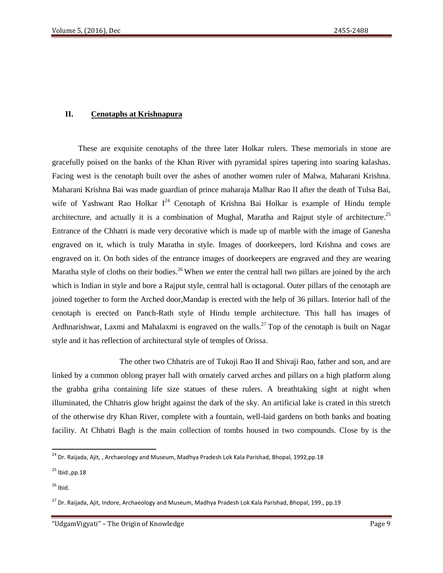# **II. Cenotaphs at Krishnapura**

These are exquisite cenotaphs of the three later Holkar rulers. These memorials in stone are gracefully poised on the banks of the Khan River with pyramidal spires tapering into soaring kalashas. Facing west is the cenotaph built over the ashes of another women ruler of Malwa, Maharani Krishna. Maharani Krishna Bai was made guardian of prince maharaja Malhar Rao II after the death of Tulsa Bai, wife of Yashwant Rao Holkar  $I^{24}$  Cenotaph of Krishna Bai Holkar is example of Hindu temple architecture, and actually it is a combination of Mughal, Maratha and Rajput style of architecture.<sup>25</sup> Entrance of the Chhatri is made very decorative which is made up of marble with the image of Ganesha engraved on it, which is truly Maratha in style. Images of doorkeepers, lord Krishna and cows are engraved on it. On both sides of the entrance images of doorkeepers are engraved and they are wearing Maratha style of cloths on their bodies.<sup>26</sup> When we enter the central hall two pillars are joined by the arch which is Indian in style and bore a Rajput style, central hall is octagonal. Outer pillars of the cenotaph are joined together to form the Arched door,Mandap is erected with the help of 36 pillars. Interior hall of the cenotaph is erected on Panch-Rath style of Hindu temple architecture. This hall has images of Ardhnarishwar, Laxmi and Mahalaxmi is engraved on the walls.<sup>27</sup> Top of the cenotaph is built on Nagar style and it has reflection of architectural style of temples of Orissa.

 The other two Chhatris are of Tukoji Rao II and Shivaji Rao, father and son, and are linked by a common oblong prayer hall with ornately carved arches and pillars on a high platform along the grabha griha containing life size statues of these rulers. A breathtaking sight at night when illuminated, the Chhatris glow bright against the dark of the sky. An artificial lake is crated in this stretch of the otherwise dry Khan River, complete with a fountain, well-laid gardens on both banks and boating facility. At Chhatri Bagh is the main collection of tombs housed in two compounds. Close by is the

<sup>&</sup>lt;sup>24</sup> Dr. Raijada, Ajit, , Archaeology and Museum, Madhya Pradesh Lok Kala Parishad, Bhopal, 1992,pp.18

 $25$  Ibid., pp.  $18$ 

 $26$  Ibid.

<sup>&</sup>lt;sup>27</sup> Dr. Raijada, Ajit, Indore, Archaeology and Museum, Madhya Pradesh Lok Kala Parishad, Bhopal, 199., pp.19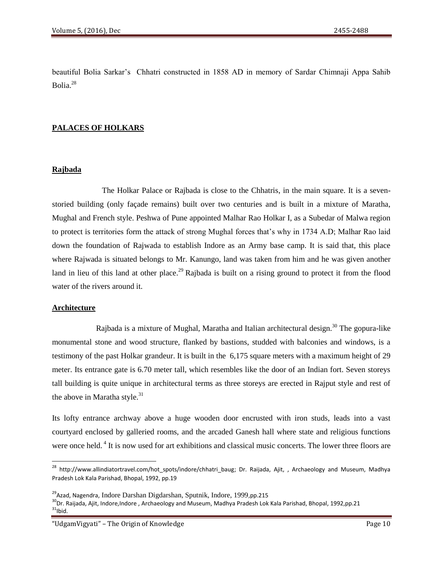beautiful Bolia Sarkar's Chhatri constructed in 1858 AD in memory of Sardar Chimnaji Appa Sahib Bolia.<sup>28</sup>

# **PALACES OF HOLKARS**

## **Rajbada**

 The Holkar Palace or Rajbada is close to the Chhatris, in the main square. It is a sevenstoried building (only façade remains) built over two centuries and is built in a mixture of Maratha, Mughal and French style. Peshwa of Pune appointed Malhar Rao Holkar I, as a Subedar of Malwa region to protect is territories form the attack of strong Mughal forces that's why in 1734 A.D; Malhar Rao laid down the foundation of Rajwada to establish Indore as an Army base camp. It is said that, this place where Rajwada is situated belongs to Mr. Kanungo, land was taken from him and he was given another land in lieu of this land at other place.<sup>29</sup> Rajbada is built on a rising ground to protect it from the flood water of the rivers around it.

#### **Architecture**

 $\overline{\phantom{a}}$ 

Rajbada is a mixture of Mughal, Maratha and Italian architectural design.<sup>30</sup> The gopura-like monumental stone and wood structure, flanked by bastions, studded with balconies and windows, is a testimony of the past Holkar grandeur. It is built in the 6,175 square meters with a maximum height of 29 meter. Its entrance gate is 6.70 meter tall, which resembles like the door of an Indian fort. Seven storeys tall building is quite unique in architectural terms as three storeys are erected in Rajput style and rest of the above in Maratha style. $31$ 

Its lofty entrance archway above a huge wooden door encrusted with iron studs, leads into a vast courtyard enclosed by galleried rooms, and the arcaded Ganesh hall where state and religious functions were once held.<sup>4</sup> It is now used for art exhibitions and classical music concerts. The lower three floors are

"UdgamVigyati" – The Origin of Knowledge Page 10

<sup>&</sup>lt;sup>28</sup> http:/[/www.allindiatortravel.com/hot\\_spots/indore/chhatri\\_baug;](http://www.allindiatortravel.com/hot_spots/indore/chhatri_baug) Dr. Raijada, Ajit, , Archaeology and Museum, Madhya Pradesh Lok Kala Parishad, Bhopal, 1992, pp.19

<sup>&</sup>lt;sup>29</sup>Azad, Nagendra, Indore Darshan Digdarshan, Sputnik, Indore, 1999,pp.215

<sup>30</sup>Dr. Raijada, Ajit, Indore, Indore , Archaeology and Museum, Madhya Pradesh Lok Kala Parishad, Bhopal, 1992,pp.21  $31$ Ibid.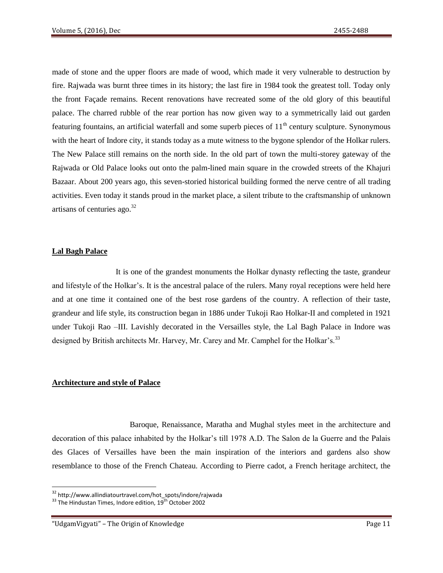made of stone and the upper floors are made of wood, which made it very vulnerable to destruction by fire. Rajwada was burnt three times in its history; the last fire in 1984 took the greatest toll. Today only the front Façade remains. Recent renovations have recreated some of the old glory of this beautiful palace. The charred rubble of the rear portion has now given way to a symmetrically laid out garden featuring fountains, an artificial waterfall and some superb pieces of  $11<sup>th</sup>$  century sculpture. Synonymous with the heart of Indore city, it stands today as a mute witness to the bygone splendor of the Holkar rulers. The New Palace still remains on the north side. In the old part of town the multi-storey gateway of the Rajwada or Old Palace looks out onto the palm-lined main square in the crowded streets of the Khajuri Bazaar. About 200 years ago, this seven-storied historical building formed the nerve centre of all trading activities. Even today it stands proud in the market place, a silent tribute to the craftsmanship of unknown artisans of centuries ago. $32$ 

#### **Lal Bagh Palace**

 It is one of the grandest monuments the Holkar dynasty reflecting the taste, grandeur and lifestyle of the Holkar's. It is the ancestral palace of the rulers. Many royal receptions were held here and at one time it contained one of the best rose gardens of the country. A reflection of their taste, grandeur and life style, its construction began in 1886 under Tukoji Rao Holkar-II and completed in 1921 under Tukoji Rao –III. Lavishly decorated in the Versailles style, the Lal Bagh Palace in Indore was designed by British architects Mr. Harvey, Mr. Carey and Mr. Camphel for the Holkar's.<sup>33</sup>

#### **Architecture and style of Palace**

 Baroque, Renaissance, Maratha and Mughal styles meet in the architecture and decoration of this palace inhabited by the Holkar's till 1978 A.D. The Salon de la Guerre and the Palais des Glaces of Versailles have been the main inspiration of the interiors and gardens also show resemblance to those of the French Chateau. According to Pierre cadot, a French heritage architect, the

<sup>&</sup>lt;sup>32</sup> http://www.allindiatourtravel.com/hot\_spots/indore/rajwada

 $33$  The Hindustan Times, Indore edition,  $19^{th}$  October 2002

<sup>&</sup>quot;UdgamVigyati" – The Origin of Knowledge Page 11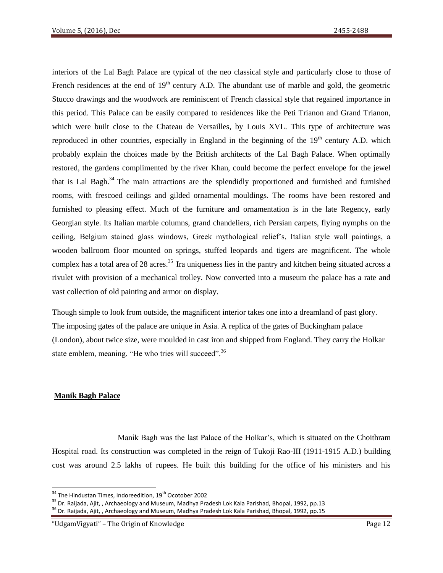interiors of the Lal Bagh Palace are typical of the neo classical style and particularly close to those of French residences at the end of  $19<sup>th</sup>$  century A.D. The abundant use of marble and gold, the geometric Stucco drawings and the woodwork are reminiscent of French classical style that regained importance in this period. This Palace can be easily compared to residences like the Peti Trianon and Grand Trianon, which were built close to the Chateau de Versailles, by Louis XVL. This type of architecture was reproduced in other countries, especially in England in the beginning of the  $19<sup>th</sup>$  century A.D. which probably explain the choices made by the British architects of the Lal Bagh Palace. When optimally restored, the gardens complimented by the river Khan, could become the perfect envelope for the jewel that is Lal Bagh.<sup>34</sup> The main attractions are the splendidly proportioned and furnished and furnished rooms, with frescoed ceilings and gilded ornamental mouldings. The rooms have been restored and furnished to pleasing effect. Much of the furniture and ornamentation is in the late Regency, early Georgian style. Its Italian marble columns, grand chandeliers, rich Persian carpets, flying nymphs on the ceiling, Belgium stained glass windows, Greek mythological relief's, Italian style wall paintings, a wooden ballroom floor mounted on springs, stuffed leopards and tigers are magnificent. The whole complex has a total area of 28 acres.<sup>35</sup> Ira uniqueness lies in the pantry and kitchen being situated across a rivulet with provision of a mechanical trolley. Now converted into a museum the palace has a rate and vast collection of old painting and armor on display.

Though simple to look from outside, the magnificent interior takes one into a dreamland of past glory. The imposing gates of the palace are unique in Asia. A replica of the gates of Buckingham palace (London), about twice size, were moulded in cast iron and shipped from England. They carry the Holkar state emblem, meaning. "He who tries will succeed".<sup>36</sup>

# **Manik Bagh Palace**

 $\overline{\phantom{a}}$ 

 Manik Bagh was the last Palace of the Holkar's, which is situated on the Choithram Hospital road. Its construction was completed in the reign of Tukoji Rao-III (1911-1915 A.D.) building cost was around 2.5 lakhs of rupees. He built this building for the office of his ministers and his

 $34$  The Hindustan Times, Indoreedition,  $19<sup>th</sup>$  Ocotober 2002

<sup>&</sup>lt;sup>35</sup> Dr. Raijada, Ajit, , Archaeology and Museum, Madhya Pradesh Lok Kala Parishad, Bhopal, 1992, pp.13

<sup>&</sup>lt;sup>36</sup> Dr. Raijada, Ajit, , Archaeology and Museum, Madhya Pradesh Lok Kala Parishad, Bhopal, 1992, pp.15

<sup>&</sup>quot;UdgamVigyati" – The Origin of Knowledge Page 12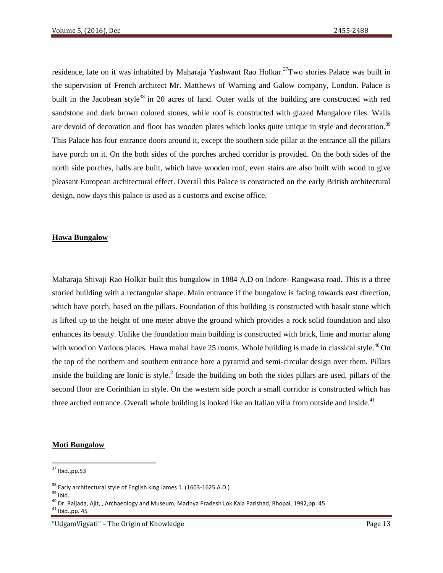residence, late on it was inhabited by Maharaja Yashwant Rao Holkar.<sup>37</sup>Two stories Palace was built in the supervision of French architect Mr. Matthews of Warning and Galow company, London. Palace is built in the Jacobean style<sup>38</sup> in 20 acres of land. Outer walls of the building are constructed with red sandstone and dark brown colored stones, while roof is constructed with glazed Mangalore tiles. Walls are devoid of decoration and floor has wooden plates which looks quite unique in style and decoration.<sup>39</sup> This Palace has four entrance doors around it, except the southern side pillar at the entrance all the pillars have porch on it. On the both sides of the porches arched corridor is provided. On the both sides of the north side porches, halls are built, which have wooden roof, even stairs are also built with wood to give pleasant European architectural effect. Overall this Palace is constructed on the early British architectural design, now days this palace is used as a customs and excise office.

#### **Hawa Bungalow**

Maharaja Shivaji Rao Holkar built this bungalow in 1884 A.D on Indore- Rangwasa road. This is a three storied building with a rectangular shape. Main entrance if the bungalow is facing towards east direction, which have porch, based on the pillars. Foundation of this building is constructed with basalt stone which is lifted up to the height of one meter above the ground which provides a rock solid foundation and also enhances its beauty. Unlike the foundation main building is constructed with brick, lime and mortar along with wood on Various places. Hawa mahal have 25 rooms. Whole building is made in classical style.<sup>40</sup> On the top of the northern and southern entrance bore a pyramid and semi-circular design over them. Pillars inside the building are Ionic is style.<sup>2</sup> Inside the building on both the sides pillars are used, pillars of the second floor are Corinthian in style. On the western side porch a small corridor is constructed which has three arched entrance. Overall whole building is looked like an Italian villa from outside and inside.<sup>41</sup>

#### **Moti Bungalow**

 $37$  Ibid., pp.53

 $38$  Early architectural style of English king James 1. (1603-1625 A.D.)

 $39$  Ibid.

<sup>&</sup>lt;sup>40</sup> Dr. Raijada, Ajit, , Archaeology and Museum, Madhya Pradesh Lok Kala Parishad, Bhopal, 1992,pp. 45

 $41$  Ibid., pp. 45

<sup>&</sup>quot;UdgamVigyati" – The Origin of Knowledge Page 13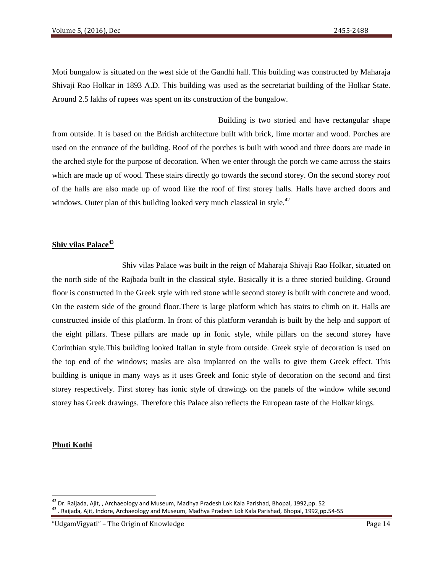Moti bungalow is situated on the west side of the Gandhi hall. This building was constructed by Maharaja Shivaji Rao Holkar in 1893 A.D. This building was used as the secretariat building of the Holkar State. Around 2.5 lakhs of rupees was spent on its construction of the bungalow.

 Building is two storied and have rectangular shape from outside. It is based on the British architecture built with brick, lime mortar and wood. Porches are used on the entrance of the building. Roof of the porches is built with wood and three doors are made in the arched style for the purpose of decoration. When we enter through the porch we came across the stairs which are made up of wood. These stairs directly go towards the second storey. On the second storey roof of the halls are also made up of wood like the roof of first storey halls. Halls have arched doors and windows. Outer plan of this building looked very much classical in style.<sup>42</sup>

# **Shiv vilas Palace<sup>43</sup>**

 Shiv vilas Palace was built in the reign of Maharaja Shivaji Rao Holkar, situated on the north side of the Rajbada built in the classical style. Basically it is a three storied building. Ground floor is constructed in the Greek style with red stone while second storey is built with concrete and wood. On the eastern side of the ground floor.There is large platform which has stairs to climb on it. Halls are constructed inside of this platform. In front of this platform verandah is built by the help and support of the eight pillars. These pillars are made up in Ionic style, while pillars on the second storey have Corinthian style.This building looked Italian in style from outside. Greek style of decoration is used on the top end of the windows; masks are also implanted on the walls to give them Greek effect. This building is unique in many ways as it uses Greek and Ionic style of decoration on the second and first storey respectively. First storey has ionic style of drawings on the panels of the window while second storey has Greek drawings. Therefore this Palace also reflects the European taste of the Holkar kings.

# **Phuti Kothi**

 $^{42}$  Dr. Raijada, Ajit, , Archaeology and Museum, Madhya Pradesh Lok Kala Parishad, Bhopal, 1992,pp. 52

<sup>43</sup> . Raijada, Ajit, Indore, Archaeology and Museum, Madhya Pradesh Lok Kala Parishad, Bhopal, 1992,pp.54-55

<sup>&</sup>quot;UdgamVigyati" – The Origin of Knowledge Page 14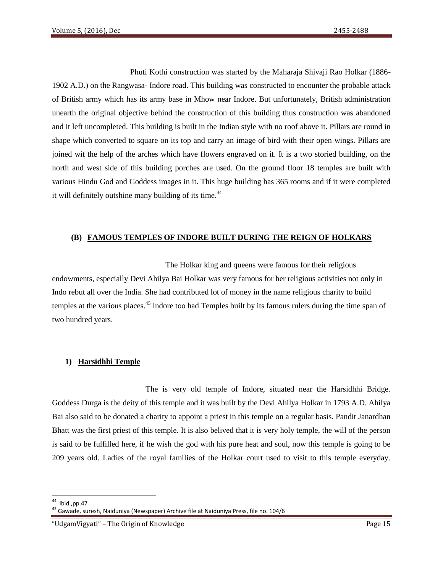Phuti Kothi construction was started by the Maharaja Shivaji Rao Holkar (1886- 1902 A.D.) on the Rangwasa- Indore road. This building was constructed to encounter the probable attack of British army which has its army base in Mhow near Indore. But unfortunately, British administration unearth the original objective behind the construction of this building thus construction was abandoned and it left uncompleted. This building is built in the Indian style with no roof above it. Pillars are round in shape which converted to square on its top and carry an image of bird with their open wings. Pillars are joined wit the help of the arches which have flowers engraved on it. It is a two storied building, on the north and west side of this building porches are used. On the ground floor 18 temples are built with various Hindu God and Goddess images in it. This huge building has 365 rooms and if it were completed it will definitely outshine many building of its time.<sup>44</sup>

# **(B) FAMOUS TEMPLES OF INDORE BUILT DURING THE REIGN OF HOLKARS**

 The Holkar king and queens were famous for their religious endowments, especially Devi Ahilya Bai Holkar was very famous for her religious activities not only in Indo rebut all over the India. She had contributed lot of money in the name religious charity to build temples at the various places.<sup>45</sup> Indore too had Temples built by its famous rulers during the time span of two hundred years.

# **1) Harsidhhi Temple**

 The is very old temple of Indore, situated near the Harsidhhi Bridge. Goddess Durga is the deity of this temple and it was built by the Devi Ahilya Holkar in 1793 A.D. Ahilya Bai also said to be donated a charity to appoint a priest in this temple on a regular basis. Pandit Janardhan Bhatt was the first priest of this temple. It is also belived that it is very holy temple, the will of the person is said to be fulfilled here, if he wish the god with his pure heat and soul, now this temple is going to be 209 years old. Ladies of the royal families of the Holkar court used to visit to this temple everyday.

l Ibid.,pp.47

<sup>45</sup> Gawade, suresh, Naiduniya (Newspaper) Archive file at Naiduniya Press, file no. 104/6

<sup>&</sup>quot;UdgamVigyati" – The Origin of Knowledge Page 15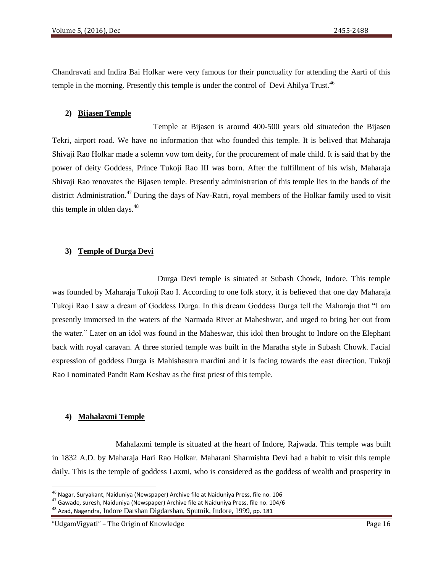Chandravati and Indira Bai Holkar were very famous for their punctuality for attending the Aarti of this temple in the morning. Presently this temple is under the control of Devi Ahilya Trust.<sup>46</sup>

## **2) Bijasen Temple**

 Temple at Bijasen is around 400-500 years old situatedon the Bijasen Tekri, airport road. We have no information that who founded this temple. It is belived that Maharaja Shivaji Rao Holkar made a solemn vow tom deity, for the procurement of male child. It is said that by the power of deity Goddess, Prince Tukoji Rao III was born. After the fulfillment of his wish, Maharaja Shivaji Rao renovates the Bijasen temple. Presently administration of this temple lies in the hands of the district Administration.<sup>47</sup> During the days of Nav-Ratri, royal members of the Holkar family used to visit this temple in olden days. $48$ 

## **3) Temple of Durga Devi**

 Durga Devi temple is situated at Subash Chowk, Indore. This temple was founded by Maharaja Tukoji Rao I. According to one folk story, it is believed that one day Maharaja Tukoji Rao I saw a dream of Goddess Durga. In this dream Goddess Durga tell the Maharaja that "I am presently immersed in the waters of the Narmada River at Maheshwar, and urged to bring her out from the water." Later on an idol was found in the Maheswar, this idol then brought to Indore on the Elephant back with royal caravan. A three storied temple was built in the Maratha style in Subash Chowk. Facial expression of goddess Durga is Mahishasura mardini and it is facing towards the east direction. Tukoji Rao I nominated Pandit Ram Keshav as the first priest of this temple.

# **4) Mahalaxmi Temple**

 $\overline{\phantom{a}}$ 

 Mahalaxmi temple is situated at the heart of Indore, Rajwada. This temple was built in 1832 A.D. by Maharaja Hari Rao Holkar. Maharani Sharmishta Devi had a habit to visit this temple daily. This is the temple of goddess Laxmi, who is considered as the goddess of wealth and prosperity in

<sup>&</sup>lt;sup>46</sup> Nagar, Suryakant, Naiduniya (Newspaper) Archive file at Naiduniya Press, file no. 106

 $47$  Gawade, suresh, Naiduniya (Newspaper) Archive file at Naiduniya Press, file no. 104/6

<sup>&</sup>lt;sup>48</sup> Azad, Nagendra, Indore Darshan Digdarshan, Sputnik, Indore, 1999, pp. 181

<sup>&</sup>quot;UdgamVigyati" – The Origin of Knowledge Page 16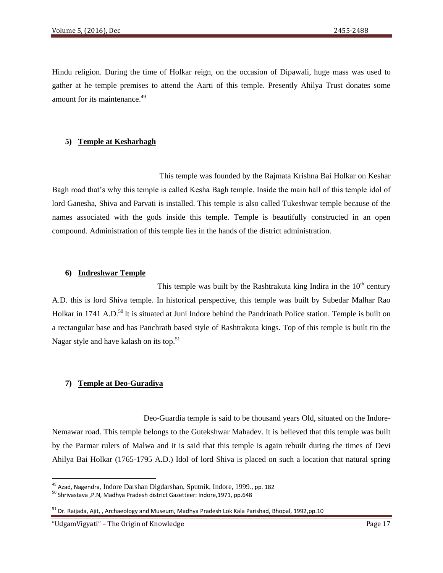Hindu religion. During the time of Holkar reign, on the occasion of Dipawali, huge mass was used to gather at he temple premises to attend the Aarti of this temple. Presently Ahilya Trust donates some amount for its maintenance.<sup>49</sup>

# **5) Temple at Kesharbagh**

 This temple was founded by the Rajmata Krishna Bai Holkar on Keshar Bagh road that's why this temple is called Kesha Bagh temple. Inside the main hall of this temple idol of lord Ganesha, Shiva and Parvati is installed. This temple is also called Tukeshwar temple because of the names associated with the gods inside this temple. Temple is beautifully constructed in an open compound. Administration of this temple lies in the hands of the district administration.

#### **6) Indreshwar Temple**

This temple was built by the Rashtrakuta king Indira in the  $10<sup>th</sup>$  century A.D. this is lord Shiva temple. In historical perspective, this temple was built by Subedar Malhar Rao Holkar in 1741 A.D.<sup>50</sup> It is situated at Juni Indore behind the Pandrinath Police station. Temple is built on a rectangular base and has Panchrath based style of Rashtrakuta kings. Top of this temple is built tin the Nagar style and have kalash on its top. $51$ 

#### **7) Temple at Deo-Guradiya**

 Deo-Guardia temple is said to be thousand years Old, situated on the Indore-Nemawar road. This temple belongs to the Gutekshwar Mahadev. It is believed that this temple was built by the Parmar rulers of Malwa and it is said that this temple is again rebuilt during the times of Devi Ahilya Bai Holkar (1765-1795 A.D.) Idol of lord Shiva is placed on such a location that natural spring

 $\overline{\phantom{a}}$ 

<sup>49</sup> Azad, Nagendra, Indore Darshan Digdarshan, Sputnik, Indore, 1999., pp. 182

<sup>50</sup> Shrivastava ,P.N, Madhya Pradesh district Gazetteer: Indore,1971, pp.648

<sup>&</sup>lt;sup>51</sup> Dr. Raijada, Ajit, , Archaeology and Museum, Madhya Pradesh Lok Kala Parishad, Bhopal, 1992,pp.10

<sup>&</sup>quot;UdgamVigyati" – The Origin of Knowledge Page 17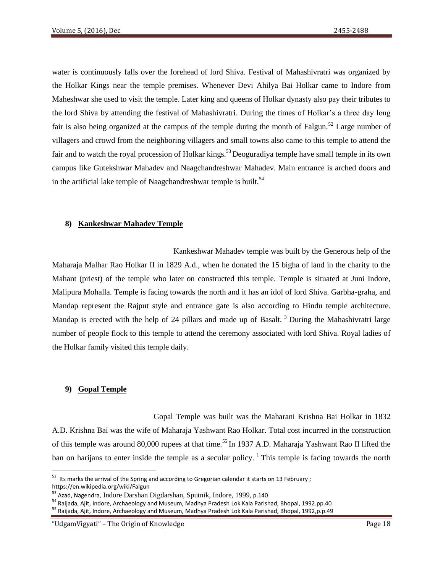water is continuously falls over the forehead of lord Shiva. Festival of Mahashivratri was organized by the Holkar Kings near the temple premises. Whenever Devi Ahilya Bai Holkar came to Indore from Maheshwar she used to visit the temple. Later king and queens of Holkar dynasty also pay their tributes to the lord Shiva by attending the festival of Mahashivratri. During the times of Holkar's a three day long fair is also being organized at the campus of the temple during the month of Falgun.<sup>52</sup> Large number of villagers and crowd from the neighboring villagers and small towns also came to this temple to attend the fair and to watch the royal procession of Holkar kings.<sup>53</sup> Deoguradiya temple have small temple in its own campus like Gutekshwar Mahadev and Naagchandreshwar Mahadev. Main entrance is arched doors and in the artificial lake temple of Naagchandreshwar temple is built.<sup>54</sup>

#### **8) Kankeshwar Mahadev Temple**

 Kankeshwar Mahadev temple was built by the Generous help of the Maharaja Malhar Rao Holkar II in 1829 A.d., when he donated the 15 bigha of land in the charity to the Mahant (priest) of the temple who later on constructed this temple. Temple is situated at Juni Indore, Malipura Mohalla. Temple is facing towards the north and it has an idol of lord Shiva. Garbha-graha, and Mandap represent the Rajput style and entrance gate is also according to Hindu temple architecture. Mandap is erected with the help of 24 pillars and made up of Basalt.<sup>3</sup> During the Mahashivratri large number of people flock to this temple to attend the ceremony associated with lord Shiva. Royal ladies of the Holkar family visited this temple daily.

#### **9) Gopal Temple**

l

 Gopal Temple was built was the Maharani Krishna Bai Holkar in 1832 A.D. Krishna Bai was the wife of Maharaja Yashwant Rao Holkar. Total cost incurred in the construction of this temple was around 80,000 rupees at that time.<sup>55</sup> In 1937 A.D. Maharaja Yashwant Rao II lifted the ban on harijans to enter inside the temple as a secular policy.  $\frac{1}{1}$  This temple is facing towards the north

 $52$  Its marks the arrival of the Spring and according to Gregorian calendar it starts on 13 February ; https://en.wikipedia.org/wiki/Falgun

<sup>53</sup> Azad, Nagendra, Indore Darshan Digdarshan, Sputnik, Indore, 1999, p.140

<sup>54</sup> Raijada, Ajit, Indore, Archaeology and Museum, Madhya Pradesh Lok Kala Parishad, Bhopal, 1992.pp.40

<sup>55</sup> Raijada, Ajit, Indore, Archaeology and Museum, Madhya Pradesh Lok Kala Parishad, Bhopal, 1992,p.p.49

<sup>&</sup>quot;UdgamVigyati" – The Origin of Knowledge Page 18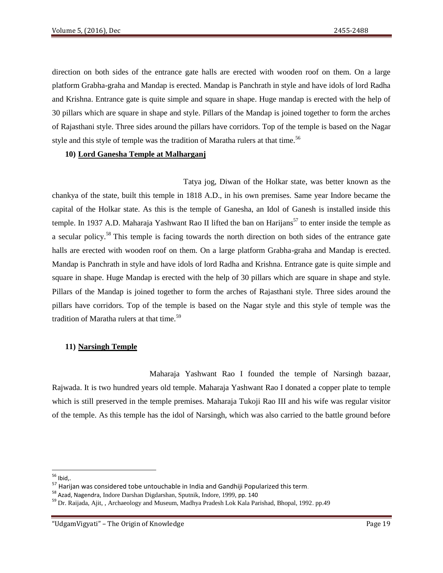direction on both sides of the entrance gate halls are erected with wooden roof on them. On a large platform Grabha-graha and Mandap is erected. Mandap is Panchrath in style and have idols of lord Radha and Krishna. Entrance gate is quite simple and square in shape. Huge mandap is erected with the help of 30 pillars which are square in shape and style. Pillars of the Mandap is joined together to form the arches of Rajasthani style. Three sides around the pillars have corridors. Top of the temple is based on the Nagar style and this style of temple was the tradition of Maratha rulers at that time.<sup>56</sup>

## **10) Lord Ganesha Temple at Malharganj**

 Tatya jog, Diwan of the Holkar state, was better known as the chankya of the state, built this temple in 1818 A.D., in his own premises. Same year Indore became the capital of the Holkar state. As this is the temple of Ganesha, an Idol of Ganesh is installed inside this temple. In 1937 A.D. Maharaja Yashwant Rao II lifted the ban on Harijans<sup>57</sup> to enter inside the temple as a secular policy.<sup>58</sup> This temple is facing towards the north direction on both sides of the entrance gate halls are erected with wooden roof on them. On a large platform Grabha-graha and Mandap is erected. Mandap is Panchrath in style and have idols of lord Radha and Krishna. Entrance gate is quite simple and square in shape. Huge Mandap is erected with the help of 30 pillars which are square in shape and style. Pillars of the Mandap is joined together to form the arches of Rajasthani style. Three sides around the pillars have corridors. Top of the temple is based on the Nagar style and this style of temple was the tradition of Maratha rulers at that time.<sup>59</sup>

# **11) Narsingh Temple**

 Maharaja Yashwant Rao I founded the temple of Narsingh bazaar, Rajwada. It is two hundred years old temple. Maharaja Yashwant Rao I donated a copper plate to temple which is still preserved in the temple premises. Maharaja Tukoji Rao III and his wife was regular visitor of the temple. As this temple has the idol of Narsingh, which was also carried to the battle ground before

 $\overline{\phantom{a}}$  $56$  Ibid,.

<sup>57</sup> Harijan was considered tobe untouchable in India and Gandhiji Popularized this term.

<sup>58</sup> Azad, Nagendra, Indore Darshan Digdarshan, Sputnik, Indore, 1999, pp. 140

<sup>59</sup> Dr. Raijada, Ajit, , Archaeology and Museum, Madhya Pradesh Lok Kala Parishad, Bhopal, 1992. pp.49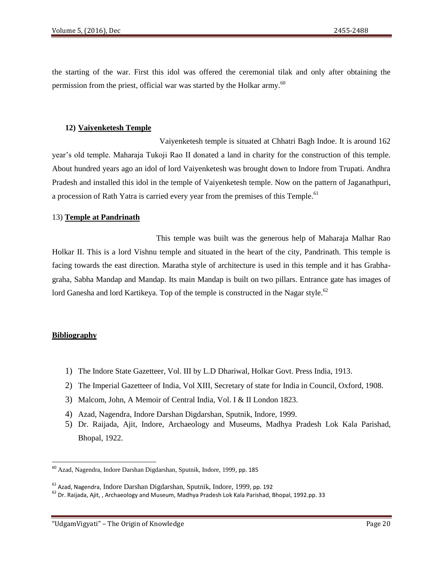the starting of the war. First this idol was offered the ceremonial tilak and only after obtaining the permission from the priest, official war was started by the Holkar army.<sup>60</sup>

## **12) Vaiyenketesh Temple**

 Vaiyenketesh temple is situated at Chhatri Bagh Indoe. It is around 162 year's old temple. Maharaja Tukoji Rao II donated a land in charity for the construction of this temple. About hundred years ago an idol of lord Vaiyenketesh was brought down to Indore from Trupati. Andhra Pradesh and installed this idol in the temple of Vaiyenketesh temple. Now on the pattern of Jaganathpuri, a procession of Rath Yatra is carried every year from the premises of this Temple.<sup>61</sup>

## 13) **Temple at Pandrinath**

This temple was built was the generous help of Maharaja Malhar Rao Holkar II. This is a lord Vishnu temple and situated in the heart of the city, Pandrinath. This temple is facing towards the east direction. Maratha style of architecture is used in this temple and it has Grabhagraha, Sabha Mandap and Mandap. Its main Mandap is built on two pillars. Entrance gate has images of lord Ganesha and lord Kartikeya. Top of the temple is constructed in the Nagar style.<sup>62</sup>

# **Bibliography**

- 1) The Indore State Gazetteer, Vol. III by L.D Dhariwal, Holkar Govt. Press India, 1913.
- 2) The Imperial Gazetteer of India, Vol XIII, Secretary of state for India in Council, Oxford, 1908.
- 3) Malcom, John, A Memoir of Central India, Vol. I & II London 1823.
- 4) Azad, Nagendra, Indore Darshan Digdarshan, Sputnik, Indore, 1999.
- 5) Dr. Raijada, Ajit, Indore, Archaeology and Museums, Madhya Pradesh Lok Kala Parishad, Bhopal, 1922.

<sup>&</sup>lt;sup>60</sup> Azad, Nagendra, Indore Darshan Digdarshan, Sputnik, Indore, 1999, pp. 185

<sup>61</sup> Azad, Nagendra, Indore Darshan Digdarshan, Sputnik, Indore, 1999, pp. 192

<sup>62</sup> Dr. Raijada, Ajit, , Archaeology and Museum, Madhya Pradesh Lok Kala Parishad, Bhopal, 1992.pp. 33